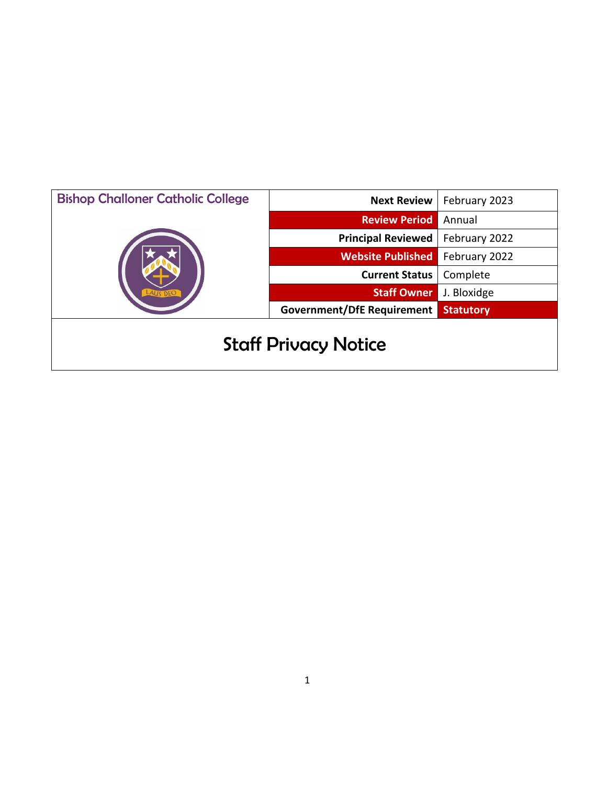| <b>Bishop Challoner Catholic College</b> | <b>Next Review</b>                | February 2023    |
|------------------------------------------|-----------------------------------|------------------|
|                                          | <b>Review Period</b>              | Annual           |
|                                          | <b>Principal Reviewed</b>         | February 2022    |
|                                          | <b>Website Published</b>          | February 2022    |
|                                          | <b>Current Status</b>             | Complete         |
|                                          | <b>Staff Owner</b>                | J. Bloxidge      |
|                                          | <b>Government/DfE Requirement</b> | <b>Statutory</b> |
| <b>Staff Privacy Notice</b>              |                                   |                  |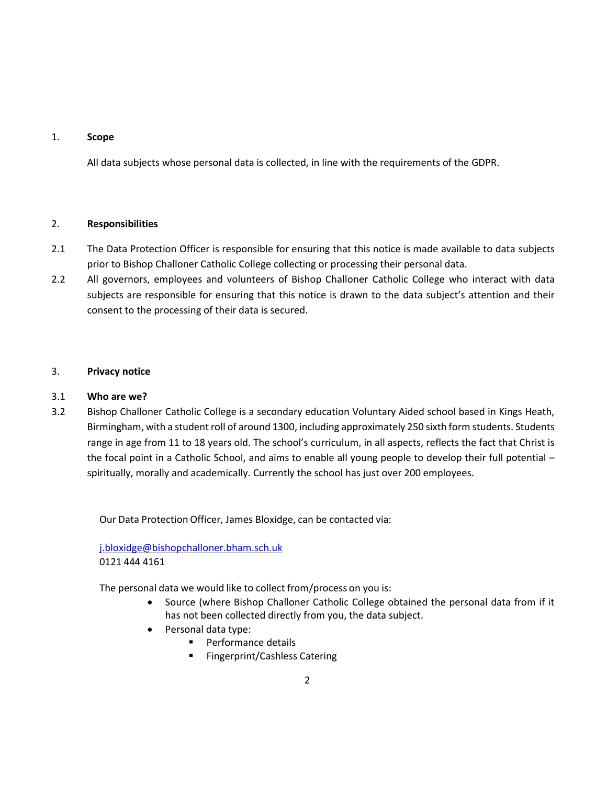### 1. **Scope**

All data subjects whose personal data is collected, in line with the requirements of the GDPR.

### 2. **Responsibilities**

- 2.1 The Data Protection Officer is responsible for ensuring that this notice is made available to data subjects prior to Bishop Challoner Catholic College collecting or processing their personal data.
- 2.2 All governors, employees and volunteers of Bishop Challoner Catholic College who interact with data subjects are responsible for ensuring that this notice is drawn to the data subject's attention and their consent to the processing of their data is secured.

### 3. **Privacy notice**

### 3.1 **Who are we?**

3.2 Bishop Challoner Catholic College is a secondary education Voluntary Aided school based in Kings Heath, Birmingham, with a student roll of around 1300, including approximately 250 sixth form students. Students range in age from 11 to 18 years old. The school's curriculum, in all aspects, reflects the fact that Christ is the focal point in a Catholic School, and aims to enable all young people to develop their full potential – spiritually, morally and academically. Currently the school has just over 200 employees.

Our Data Protection Officer, James Bloxidge, can be contacted via:

[j.bloxidge@bishopchalloner.bham.sch.uk](mailto:j.bloxidge@bishopchalloner.bham.sch.uk) 0121 444 4161

The personal data we would like to collect from/process on you is:

- Source (where Bishop Challoner Catholic College obtained the personal data from if it has not been collected directly from you, the data subject.
- Personal data type:
	- **Performance details**
	- **Fingerprint/Cashless Catering**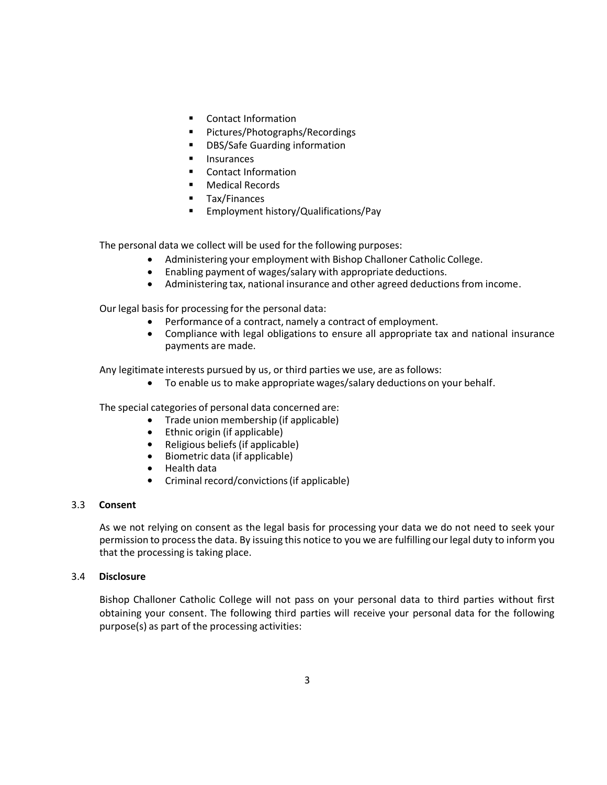- Contact Information
- Pictures/Photographs/Recordings
- **•** DBS/Safe Guarding information
- **Insurances**
- Contact Information
- **Nedical Records**
- **Tax/Finances**
- **Employment history/Qualifications/Pay**

The personal data we collect will be used for the following purposes:

- Administering your employment with Bishop Challoner Catholic College.
- Enabling payment of wages/salary with appropriate deductions.
- Administering tax, national insurance and other agreed deductionsfrom income.

Our legal basis for processing for the personal data:

- Performance of a contract, namely a contract of employment.
- Compliance with legal obligations to ensure all appropriate tax and national insurance payments are made.

Any legitimate interests pursued by us, or third parties we use, are as follows:

To enable us to make appropriate wages/salary deductions on your behalf.

The special categories of personal data concerned are:

- Trade union membership (if applicable)
- Ethnic origin (if applicable)
- Religious beliefs (if applicable)
- Biometric data (if applicable)
- Health data
- Criminal record/convictions(if applicable)

### 3.3 **Consent**

As we not relying on consent as the legal basis for processing your data we do not need to seek your permission to processthe data. By issuing this notice to you we are fulfilling our legal duty to inform you that the processing is taking place.

### 3.4 **Disclosure**

Bishop Challoner Catholic College will not pass on your personal data to third parties without first obtaining your consent. The following third parties will receive your personal data for the following purpose(s) as part of the processing activities: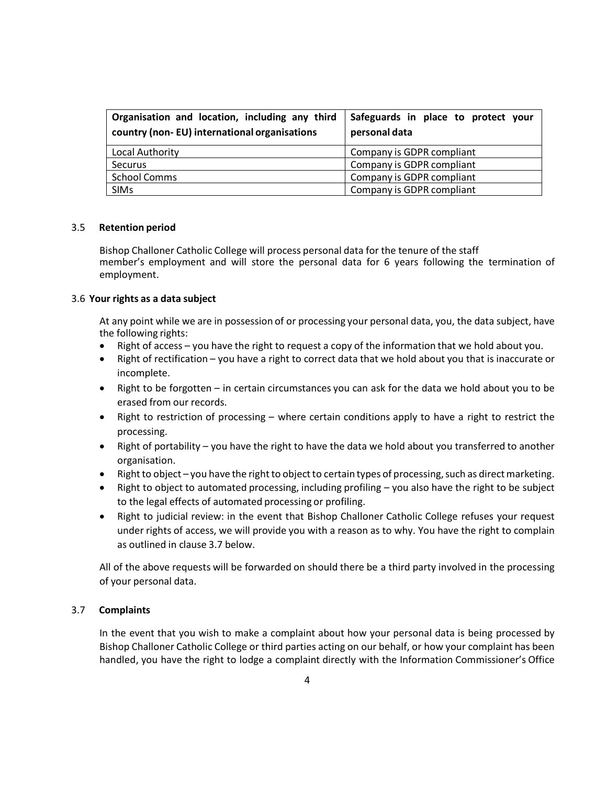| Organisation and location, including any third<br>country (non-EU) international organisations | Safeguards in place to protect your<br>personal data |
|------------------------------------------------------------------------------------------------|------------------------------------------------------|
| Local Authority                                                                                | Company is GDPR compliant                            |
| Securus                                                                                        | Company is GDPR compliant                            |
| <b>School Comms</b>                                                                            | Company is GDPR compliant                            |
| <b>SIMs</b>                                                                                    | Company is GDPR compliant                            |

### 3.5 **Retention period**

Bishop Challoner Catholic College will process personal data for the tenure of the staff member's employment and will store the personal data for 6 years following the termination of employment.

#### 3.6 **Your rights as a data subject**

At any point while we are in possession of or processing your personal data, you, the data subject, have the following rights:

- Right of access you have the right to request a copy of the information that we hold about you.
- Right of rectification you have a right to correct data that we hold about you that is inaccurate or incomplete.
- Right to be forgotten in certain circumstances you can ask for the data we hold about you to be erased from our records.
- Right to restriction of processing where certain conditions apply to have a right to restrict the processing.
- Right of portability you have the right to have the data we hold about you transferred to another organisation.
- Right to object you have the right to object to certain types of processing, such as direct marketing.
- Right to object to automated processing, including profiling you also have the right to be subject to the legal effects of automated processing or profiling.
- Right to judicial review: in the event that Bishop Challoner Catholic College refuses your request under rights of access, we will provide you with a reason as to why. You have the right to complain as outlined in clause 3.7 below.

All of the above requests will be forwarded on should there be a third party involved in the processing of your personal data.

### 3.7 **Complaints**

In the event that you wish to make a complaint about how your personal data is being processed by Bishop Challoner Catholic College or third parties acting on our behalf, or how your complaint has been handled, you have the right to lodge a complaint directly with the Information Commissioner's Office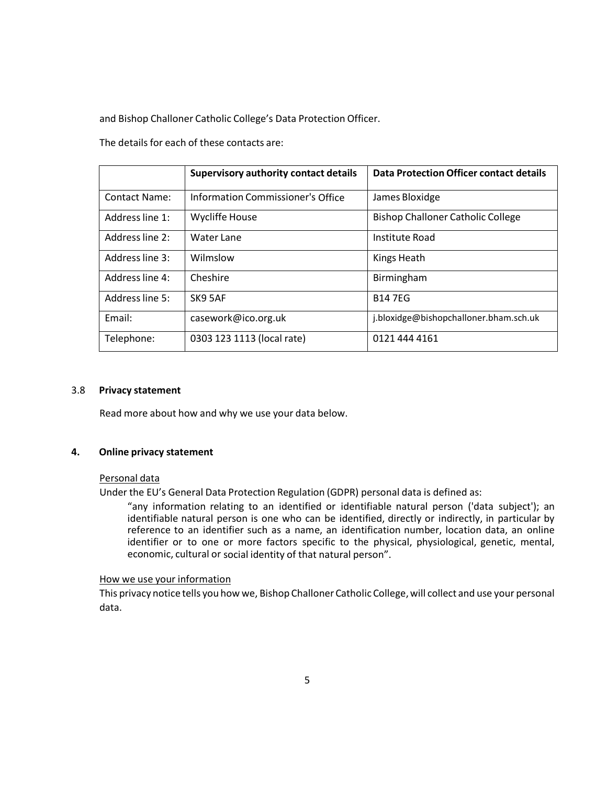and Bishop Challoner Catholic College's Data Protection Officer.

The details for each of these contacts are:

|                      | <b>Supervisory authority contact details</b> | Data Protection Officer contact details  |
|----------------------|----------------------------------------------|------------------------------------------|
| <b>Contact Name:</b> | Information Commissioner's Office            | James Bloxidge                           |
| Address line 1:      | <b>Wycliffe House</b>                        | <b>Bishop Challoner Catholic College</b> |
| Address line 2:      | Water Lane                                   | Institute Road                           |
| Address line 3:      | Wilmslow                                     | Kings Heath                              |
| Address line 4:      | Cheshire                                     | Birmingham                               |
| Address line 5:      | SK9 5AF                                      | <b>B147EG</b>                            |
| Email:               | casework@ico.org.uk                          | j.bloxidge@bishopchalloner.bham.sch.uk   |
| Telephone:           | 0303 123 1113 (local rate)                   | 0121 444 4161                            |

### 3.8 **Privacy statement**

Read more about how and why we use your data below.

### **4. Online privacy statement**

### Personal data

Under the EU's General Data Protection Regulation (GDPR) personal data is defined as:

"any information relating to an identified or identifiable natural person ('data subject'); an identifiable natural person is one who can be identified, directly or indirectly, in particular by reference to an identifier such as a name, an identification number, location data, an online identifier or to one or more factors specific to the physical, physiological, genetic, mental, economic, cultural or social identity of that natural person".

### How we use your information

This privacy notice tells you how we, Bishop Challoner Catholic College,will collect and use your personal data.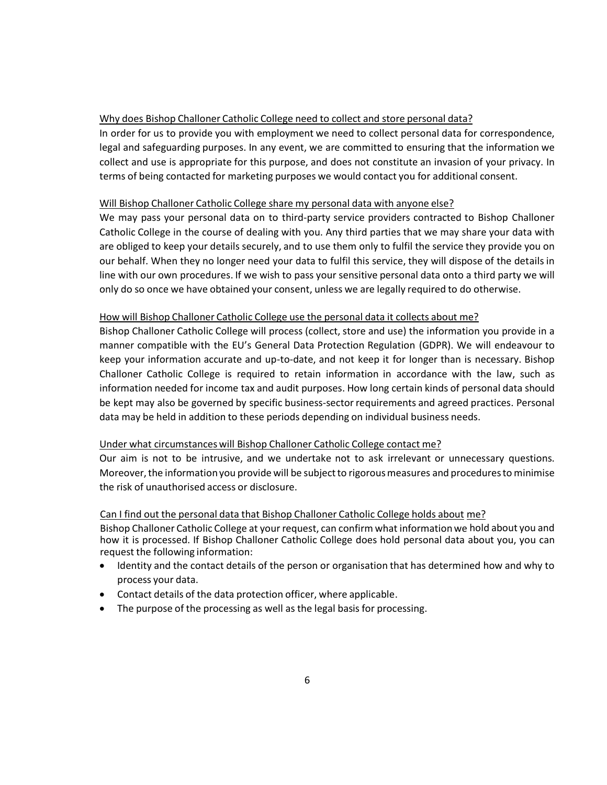### Why does Bishop Challoner Catholic College need to collect and store personal data?

In order for us to provide you with employment we need to collect personal data for correspondence, legal and safeguarding purposes. In any event, we are committed to ensuring that the information we collect and use is appropriate for this purpose, and does not constitute an invasion of your privacy. In terms of being contacted for marketing purposes we would contact you for additional consent.

### Will Bishop Challoner Catholic College share my personal data with anyone else?

We may pass your personal data on to third-party service providers contracted to Bishop Challoner Catholic College in the course of dealing with you. Any third parties that we may share your data with are obliged to keep your details securely, and to use them only to fulfil the service they provide you on our behalf. When they no longer need your data to fulfil this service, they will dispose of the details in line with our own procedures. If we wish to pass your sensitive personal data onto a third party we will only do so once we have obtained your consent, unless we are legally required to do otherwise.

### How will Bishop Challoner Catholic College use the personal data it collects about me?

Bishop Challoner Catholic College will process (collect, store and use) the information you provide in a manner compatible with the EU's General Data Protection Regulation (GDPR). We will endeavour to keep your information accurate and up-to-date, and not keep it for longer than is necessary. Bishop Challoner Catholic College is required to retain information in accordance with the law, such as information needed for income tax and audit purposes. How long certain kinds of personal data should be kept may also be governed by specific business-sector requirements and agreed practices. Personal data may be held in addition to these periods depending on individual business needs.

### Under what circumstances will Bishop Challoner Catholic College contact me?

Our aim is not to be intrusive, and we undertake not to ask irrelevant or unnecessary questions. Moreover, the information you provide will be subject to rigorous measures and procedures to minimise the risk of unauthorised access or disclosure.

### Can I find out the personal data that Bishop Challoner Catholic College holds about me?

Bishop Challoner Catholic College at your request, can confirm what informationwe hold about you and how it is processed. If Bishop Challoner Catholic College does hold personal data about you, you can request the following information:

- Identity and the contact details of the person or organisation that has determined how and why to process your data.
- Contact details of the data protection officer, where applicable.
- The purpose of the processing as well as the legal basis for processing.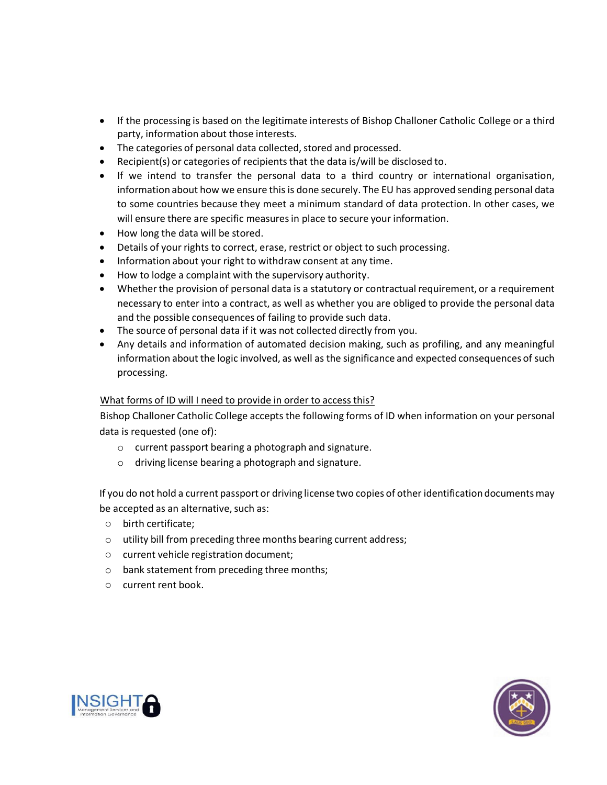- If the processing is based on the legitimate interests of Bishop Challoner Catholic College or a third party, information about those interests.
- The categories of personal data collected, stored and processed.
- Recipient(s) or categories of recipients that the data is/will be disclosed to.
- If we intend to transfer the personal data to a third country or international organisation, information about how we ensure this is done securely. The EU has approved sending personal data to some countries because they meet a minimum standard of data protection. In other cases, we will ensure there are specific measures in place to secure your information.
- How long the data will be stored.
- Details of your rights to correct, erase, restrict or object to such processing.
- Information about your right to withdraw consent at any time.
- How to lodge a complaint with the supervisory authority.
- Whether the provision of personal data is a statutory or contractual requirement, or a requirement necessary to enter into a contract, as well as whether you are obliged to provide the personal data and the possible consequences of failing to provide such data.
- The source of personal data if it was not collected directly from you.
- Any details and information of automated decision making, such as profiling, and any meaningful information about the logic involved, as well as the significance and expected consequences of such processing.

## What forms of ID will I need to provide in order to access this?

Bishop Challoner Catholic College accepts the following forms of ID when information on your personal data is requested (one of):

- o current passport bearing a photograph and signature.
- o driving license bearing a photograph and signature.

If you do not hold a current passport or driving license two copies of other identification documentsmay be accepted as an alternative, such as:

- o birth certificate;
- o utility bill from preceding three months bearing current address;
- o current vehicle registration document;
- o bank statement from preceding three months;
- o current rent book.